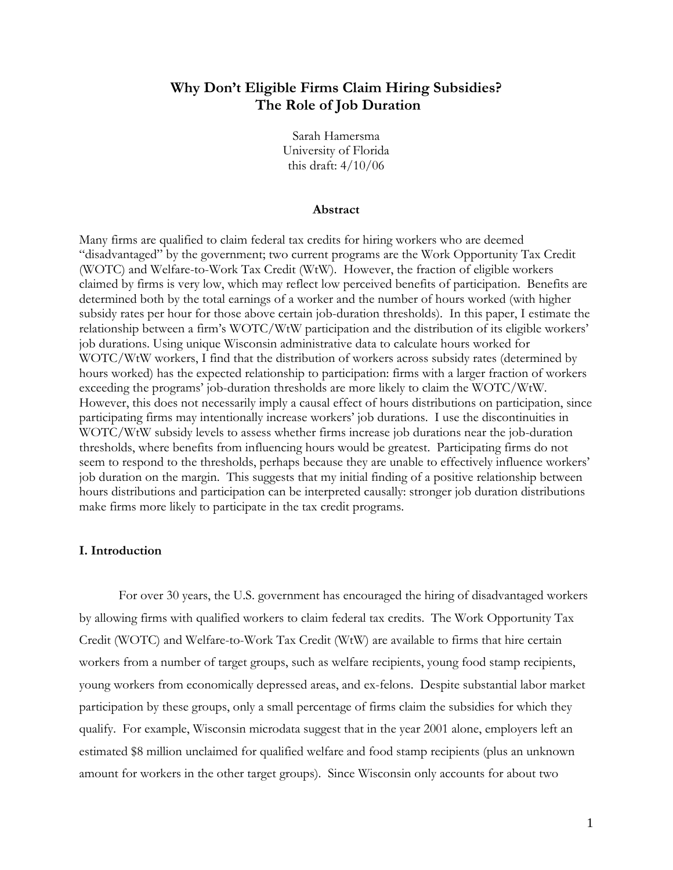## **Why Don't Eligible Firms Claim Hiring Subsidies? The Role of Job Duration**

Sarah Hamersma University of Florida this draft: 4/10/06

#### **Abstract**

Many firms are qualified to claim federal tax credits for hiring workers who are deemed "disadvantaged" by the government; two current programs are the Work Opportunity Tax Credit (WOTC) and Welfare-to-Work Tax Credit (WtW). However, the fraction of eligible workers claimed by firms is very low, which may reflect low perceived benefits of participation. Benefits are determined both by the total earnings of a worker and the number of hours worked (with higher subsidy rates per hour for those above certain job-duration thresholds). In this paper, I estimate the relationship between a firm's WOTC/WtW participation and the distribution of its eligible workers' job durations. Using unique Wisconsin administrative data to calculate hours worked for WOTC/WtW workers, I find that the distribution of workers across subsidy rates (determined by hours worked) has the expected relationship to participation: firms with a larger fraction of workers exceeding the programs' job-duration thresholds are more likely to claim the WOTC/WtW. However, this does not necessarily imply a causal effect of hours distributions on participation, since participating firms may intentionally increase workers' job durations. I use the discontinuities in WOTC/WtW subsidy levels to assess whether firms increase job durations near the job-duration thresholds, where benefits from influencing hours would be greatest. Participating firms do not seem to respond to the thresholds, perhaps because they are unable to effectively influence workers' job duration on the margin. This suggests that my initial finding of a positive relationship between hours distributions and participation can be interpreted causally: stronger job duration distributions make firms more likely to participate in the tax credit programs.

#### **I. Introduction**

For over 30 years, the U.S. government has encouraged the hiring of disadvantaged workers by allowing firms with qualified workers to claim federal tax credits. The Work Opportunity Tax Credit (WOTC) and Welfare-to-Work Tax Credit (WtW) are available to firms that hire certain workers from a number of target groups, such as welfare recipients, young food stamp recipients, young workers from economically depressed areas, and ex-felons. Despite substantial labor market participation by these groups, only a small percentage of firms claim the subsidies for which they qualify. For example, Wisconsin microdata suggest that in the year 2001 alone, employers left an estimated \$8 million unclaimed for qualified welfare and food stamp recipients (plus an unknown amount for workers in the other target groups). Since Wisconsin only accounts for about two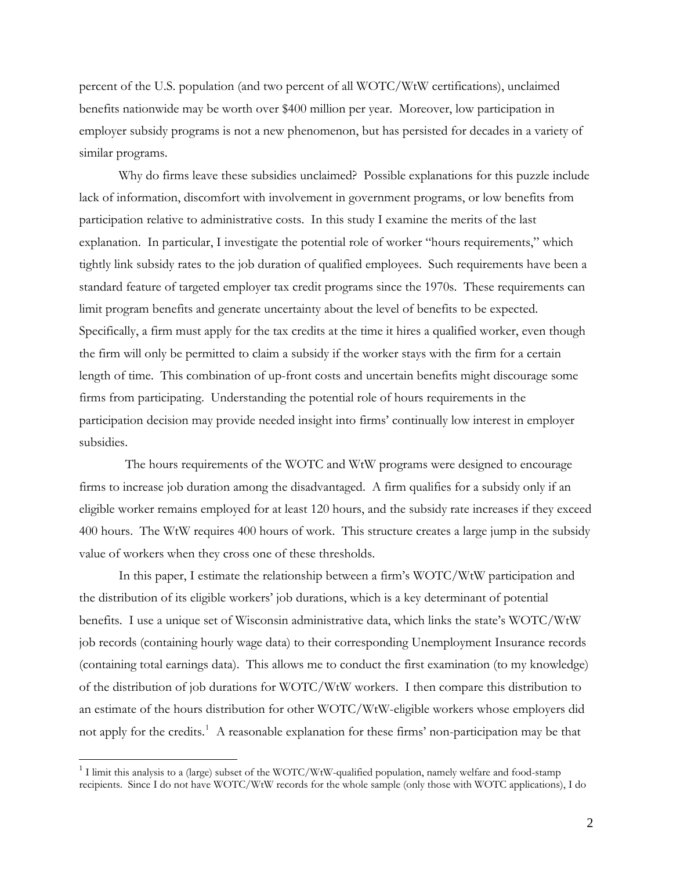percent of the U.S. population (and two percent of all WOTC/WtW certifications), unclaimed benefits nationwide may be worth over \$400 million per year. Moreover, low participation in employer subsidy programs is not a new phenomenon, but has persisted for decades in a variety of similar programs.

Why do firms leave these subsidies unclaimed? Possible explanations for this puzzle include lack of information, discomfort with involvement in government programs, or low benefits from participation relative to administrative costs. In this study I examine the merits of the last explanation. In particular, I investigate the potential role of worker "hours requirements," which tightly link subsidy rates to the job duration of qualified employees. Such requirements have been a standard feature of targeted employer tax credit programs since the 1970s. These requirements can limit program benefits and generate uncertainty about the level of benefits to be expected. Specifically, a firm must apply for the tax credits at the time it hires a qualified worker, even though the firm will only be permitted to claim a subsidy if the worker stays with the firm for a certain length of time. This combination of up-front costs and uncertain benefits might discourage some firms from participating. Understanding the potential role of hours requirements in the participation decision may provide needed insight into firms' continually low interest in employer subsidies.

 The hours requirements of the WOTC and WtW programs were designed to encourage firms to increase job duration among the disadvantaged. A firm qualifies for a subsidy only if an eligible worker remains employed for at least 120 hours, and the subsidy rate increases if they exceed 400 hours. The WtW requires 400 hours of work. This structure creates a large jump in the subsidy value of workers when they cross one of these thresholds.

In this paper, I estimate the relationship between a firm's WOTC/WtW participation and the distribution of its eligible workers' job durations, which is a key determinant of potential benefits. I use a unique set of Wisconsin administrative data, which links the state's WOTC/WtW job records (containing hourly wage data) to their corresponding Unemployment Insurance records (containing total earnings data). This allows me to conduct the first examination (to my knowledge) of the distribution of job durations for WOTC/WtW workers. I then compare this distribution to an estimate of the hours distribution for other WOTC/WtW-eligible workers whose employers did not apply for the credits.<sup>[1](#page-1-0)</sup> A reasonable explanation for these firms' non-participation may be that

<span id="page-1-0"></span><sup>&</sup>lt;sup>1</sup> I limit this analysis to a (large) subset of the WOTC/WtW-qualified population, namely welfare and food-stamp recipients. Since I do not have WOTC/WtW records for the whole sample (only those with WOTC applications), I do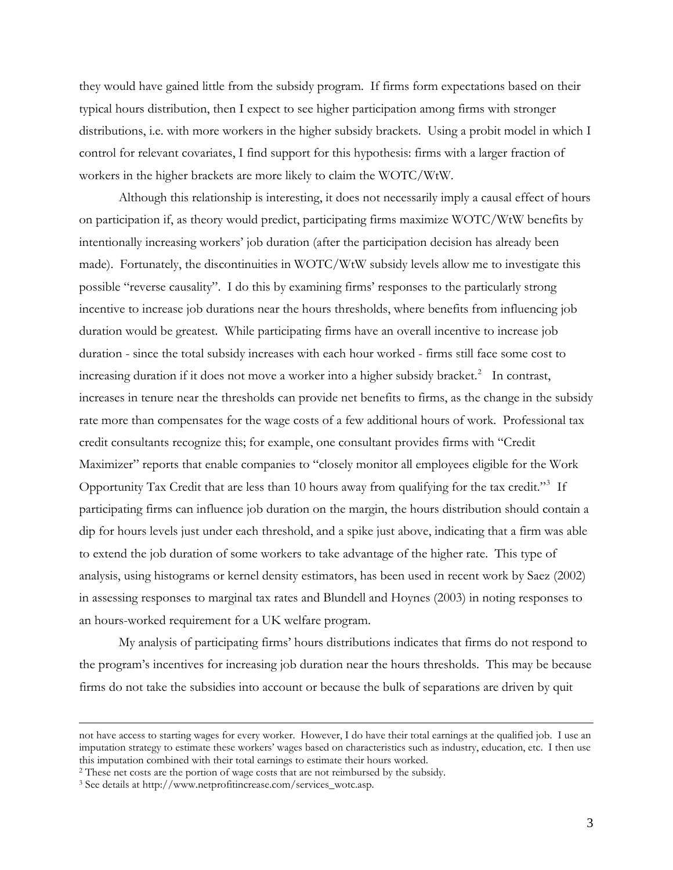they would have gained little from the subsidy program. If firms form expectations based on their typical hours distribution, then I expect to see higher participation among firms with stronger distributions, i.e. with more workers in the higher subsidy brackets. Using a probit model in which I control for relevant covariates, I find support for this hypothesis: firms with a larger fraction of workers in the higher brackets are more likely to claim the WOTC/WtW.

Although this relationship is interesting, it does not necessarily imply a causal effect of hours on participation if, as theory would predict, participating firms maximize WOTC/WtW benefits by intentionally increasing workers' job duration (after the participation decision has already been made). Fortunately, the discontinuities in WOTC/WtW subsidy levels allow me to investigate this possible "reverse causality". I do this by examining firms' responses to the particularly strong incentive to increase job durations near the hours thresholds, where benefits from influencing job duration would be greatest. While participating firms have an overall incentive to increase job duration - since the total subsidy increases with each hour worked - firms still face some cost to increasing duration if it does not move a worker into a higher subsidy bracket.<sup>[2](#page-2-0)</sup> In contrast, increases in tenure near the thresholds can provide net benefits to firms, as the change in the subsidy rate more than compensates for the wage costs of a few additional hours of work. Professional tax credit consultants recognize this; for example, one consultant provides firms with "Credit Maximizer" reports that enable companies to "closely monitor all employees eligible for the Work Opportunity Tax Credit that are less than 10 hours away from qualifying for the tax credit."<sup>[3](#page-2-1)</sup> If participating firms can influence job duration on the margin, the hours distribution should contain a dip for hours levels just under each threshold, and a spike just above, indicating that a firm was able to extend the job duration of some workers to take advantage of the higher rate. This type of analysis, using histograms or kernel density estimators, has been used in recent work by Saez (2002) in assessing responses to marginal tax rates and Blundell and Hoynes (2003) in noting responses to an hours-worked requirement for a UK welfare program.

My analysis of participating firms' hours distributions indicates that firms do not respond to the program's incentives for increasing job duration near the hours thresholds. This may be because firms do not take the subsidies into account or because the bulk of separations are driven by quit

1

not have access to starting wages for every worker. However, I do have their total earnings at the qualified job. I use an imputation strategy to estimate these workers' wages based on characteristics such as industry, education, etc. I then use this imputation combined with their total earnings to estimate their hours worked.

<span id="page-2-0"></span><sup>&</sup>lt;sup>2</sup> These net costs are the portion of wage costs that are not reimbursed by the subsidy. <sup>3</sup> See details at http://www.netprofitincrease.com/services\_wotc.asp.

<span id="page-2-1"></span>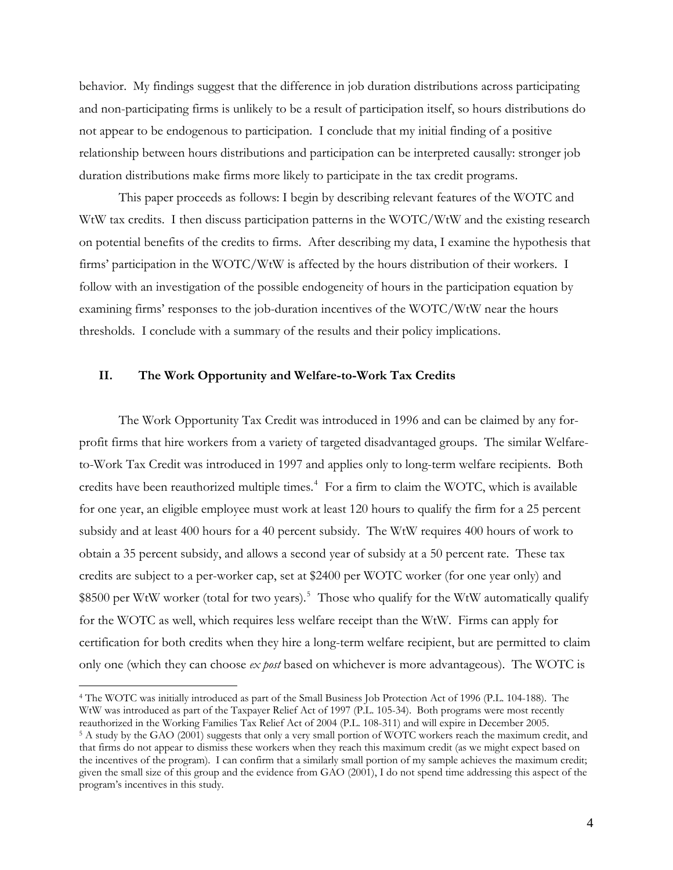behavior. My findings suggest that the difference in job duration distributions across participating and non-participating firms is unlikely to be a result of participation itself, so hours distributions do not appear to be endogenous to participation. I conclude that my initial finding of a positive relationship between hours distributions and participation can be interpreted causally: stronger job duration distributions make firms more likely to participate in the tax credit programs.

 This paper proceeds as follows: I begin by describing relevant features of the WOTC and WtW tax credits. I then discuss participation patterns in the WOTC/WtW and the existing research on potential benefits of the credits to firms. After describing my data, I examine the hypothesis that firms' participation in the WOTC/WtW is affected by the hours distribution of their workers. I follow with an investigation of the possible endogeneity of hours in the participation equation by examining firms' responses to the job-duration incentives of the WOTC/WtW near the hours thresholds. I conclude with a summary of the results and their policy implications.

### **II. The Work Opportunity and Welfare-to-Work Tax Credits**

 $\overline{a}$ 

The Work Opportunity Tax Credit was introduced in 1996 and can be claimed by any forprofit firms that hire workers from a variety of targeted disadvantaged groups. The similar Welfareto-Work Tax Credit was introduced in 1997 and applies only to long-term welfare recipients. Both credits have been reauthorized multiple times.<sup>[4](#page-3-0)</sup> For a firm to claim the WOTC, which is available for one year, an eligible employee must work at least 120 hours to qualify the firm for a 25 percent subsidy and at least 400 hours for a 40 percent subsidy. The WtW requires 400 hours of work to obtain a 35 percent subsidy, and allows a second year of subsidy at a 50 percent rate. These tax credits are subject to a per-worker cap, set at \$2400 per WOTC worker (for one year only) and \$8[5](#page-3-1)00 per WtW worker (total for two years).<sup>5</sup> Those who qualify for the WtW automatically qualify for the WOTC as well, which requires less welfare receipt than the WtW. Firms can apply for certification for both credits when they hire a long-term welfare recipient, but are permitted to claim only one (which they can choose *ex post* based on whichever is more advantageous). The WOTC is

<span id="page-3-1"></span><span id="page-3-0"></span><sup>4</sup> The WOTC was initially introduced as part of the Small Business Job Protection Act of 1996 (P.L. 104-188). The WtW was introduced as part of the Taxpayer Relief Act of 1997 (P.L. 105-34). Both programs were most recently reauthorized in the Working Families Tax Relief Act of 2004 (P.L. 108-311) and will expire in December 2005. 5 A study by the GAO (2001) suggests that only a very small portion of WOTC workers reach the maximum credit, and that firms do not appear to dismiss these workers when they reach this maximum credit (as we might expect based on the incentives of the program). I can confirm that a similarly small portion of my sample achieves the maximum credit; given the small size of this group and the evidence from GAO (2001), I do not spend time addressing this aspect of the program's incentives in this study.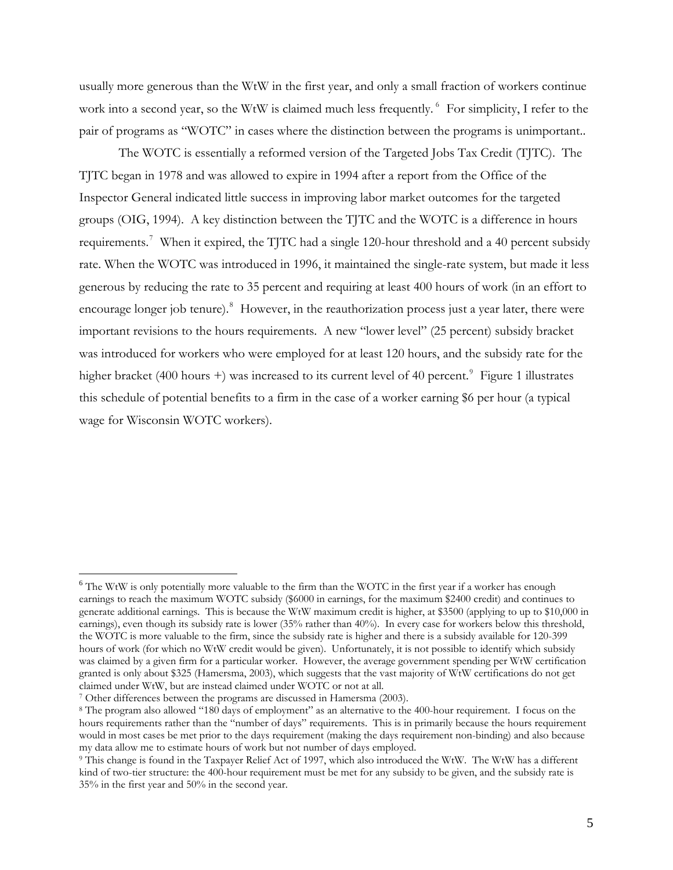usually more generous than the WtW in the first year, and only a small fraction of workers continue work into a second year, so the WtW is claimed much less frequently. <sup>[6](#page-4-0)</sup> For simplicity, I refer to the pair of programs as "WOTC" in cases where the distinction between the programs is unimportant..

The WOTC is essentially a reformed version of the Targeted Jobs Tax Credit (TJTC). The TJTC began in 1978 and was allowed to expire in 1994 after a report from the Office of the Inspector General indicated little success in improving labor market outcomes for the targeted groups (OIG, 1994). A key distinction between the TJTC and the WOTC is a difference in hours requirements.<sup>[7](#page-4-1)</sup> When it expired, the TJTC had a single 120-hour threshold and a 40 percent subsidy rate. When the WOTC was introduced in 1996, it maintained the single-rate system, but made it less generous by reducing the rate to 35 percent and requiring at least 400 hours of work (in an effort to encourage longer job tenure).<sup>[8](#page-4-2)</sup> However, in the reauthorization process just a year later, there were important revisions to the hours requirements. A new "lower level" (25 percent) subsidy bracket was introduced for workers who were employed for at least 120 hours, and the subsidy rate for the higher bracket (400 hours +) was increased to its current level of 40 percent.<sup>[9](#page-4-3)</sup> Figure 1 illustrates this schedule of potential benefits to a firm in the case of a worker earning \$6 per hour (a typical wage for Wisconsin WOTC workers).

<span id="page-4-0"></span><sup>&</sup>lt;sup>6</sup> The WtW is only potentially more valuable to the firm than the WOTC in the first year if a worker has enough earnings to reach the maximum WOTC subsidy (\$6000 in earnings, for the maximum \$2400 credit) and continues to generate additional earnings. This is because the WtW maximum credit is higher, at \$3500 (applying to up to \$10,000 in earnings), even though its subsidy rate is lower (35% rather than 40%). In every case for workers below this threshold, the WOTC is more valuable to the firm, since the subsidy rate is higher and there is a subsidy available for 120-399 hours of work (for which no WtW credit would be given). Unfortunately, it is not possible to identify which subsidy was claimed by a given firm for a particular worker. However, the average government spending per WtW certification granted is only about \$325 (Hamersma, 2003), which suggests that the vast majority of WtW certifications do not get claimed under WtW, but are instead claimed under WOTC or not at all.

<span id="page-4-1"></span><sup>7</sup> Other differences between the programs are discussed in Hamersma (2003).

<span id="page-4-2"></span><sup>8</sup> The program also allowed "180 days of employment" as an alternative to the 400-hour requirement. I focus on the hours requirements rather than the "number of days" requirements. This is in primarily because the hours requirement would in most cases be met prior to the days requirement (making the days requirement non-binding) and also because my data allow me to estimate hours of work but not number of days employed. 9 This change is found in the Taxpayer Relief Act of 1997, which also introduced the WtW. The WtW has a different

<span id="page-4-3"></span>kind of two-tier structure: the 400-hour requirement must be met for any subsidy to be given, and the subsidy rate is 35% in the first year and 50% in the second year.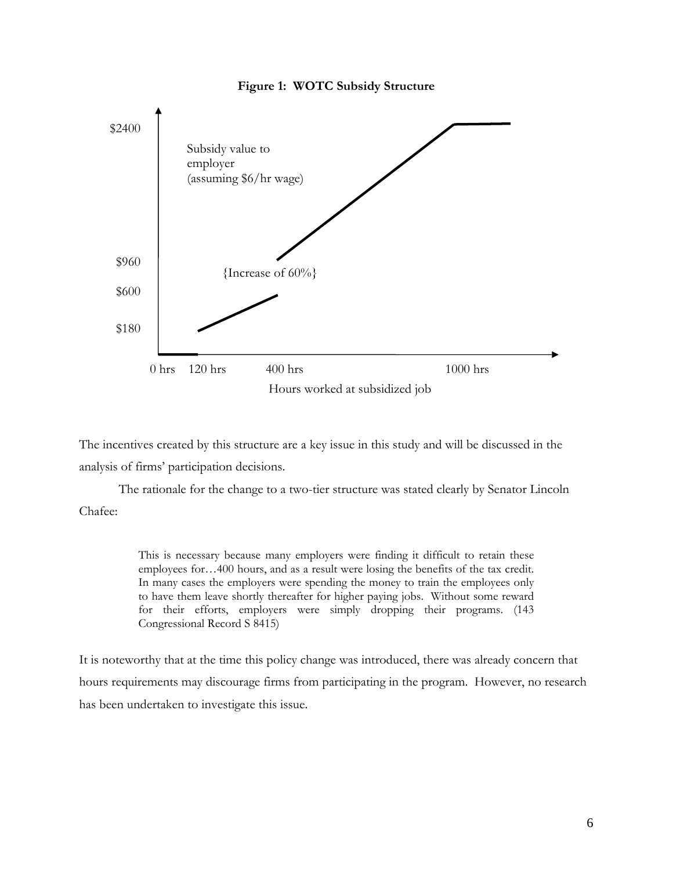

The incentives created by this structure are a key issue in this study and will be discussed in the analysis of firms' participation decisions.

The rationale for the change to a two-tier structure was stated clearly by Senator Lincoln Chafee:

> This is necessary because many employers were finding it difficult to retain these employees for…400 hours, and as a result were losing the benefits of the tax credit. In many cases the employers were spending the money to train the employees only to have them leave shortly thereafter for higher paying jobs. Without some reward for their efforts, employers were simply dropping their programs. (143 Congressional Record S 8415)

It is noteworthy that at the time this policy change was introduced, there was already concern that hours requirements may discourage firms from participating in the program. However, no research has been undertaken to investigate this issue.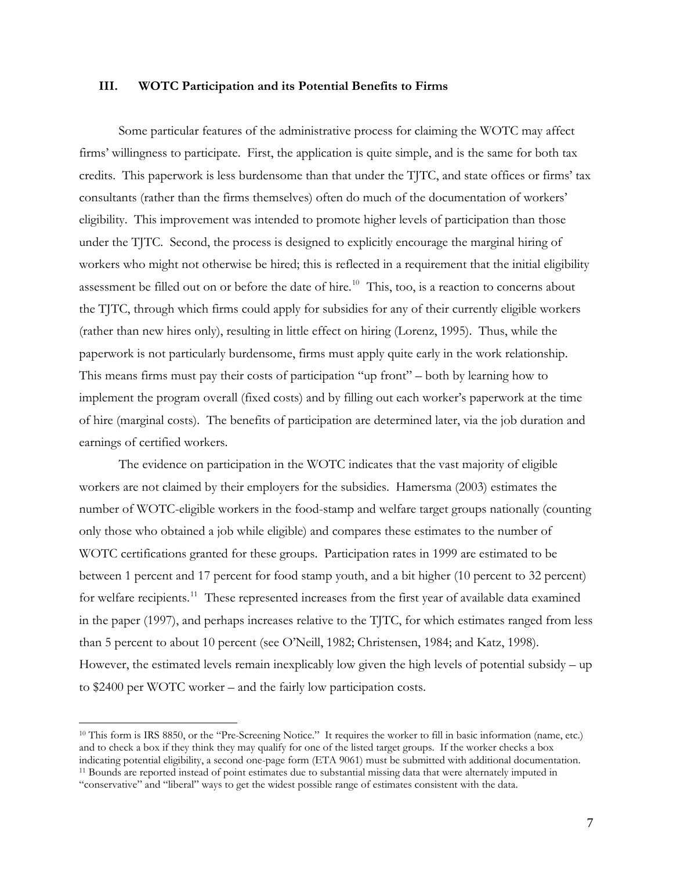#### **III. WOTC Participation and its Potential Benefits to Firms**

 Some particular features of the administrative process for claiming the WOTC may affect firms' willingness to participate. First, the application is quite simple, and is the same for both tax credits. This paperwork is less burdensome than that under the TJTC, and state offices or firms' tax consultants (rather than the firms themselves) often do much of the documentation of workers' eligibility. This improvement was intended to promote higher levels of participation than those under the TJTC. Second, the process is designed to explicitly encourage the marginal hiring of workers who might not otherwise be hired; this is reflected in a requirement that the initial eligibility assessment be filled out on or before the date of hire.<sup>[10](#page-6-0)</sup> This, too, is a reaction to concerns about the TJTC, through which firms could apply for subsidies for any of their currently eligible workers (rather than new hires only), resulting in little effect on hiring (Lorenz, 1995). Thus, while the paperwork is not particularly burdensome, firms must apply quite early in the work relationship. This means firms must pay their costs of participation "up front" – both by learning how to implement the program overall (fixed costs) and by filling out each worker's paperwork at the time of hire (marginal costs). The benefits of participation are determined later, via the job duration and earnings of certified workers.

 The evidence on participation in the WOTC indicates that the vast majority of eligible workers are not claimed by their employers for the subsidies. Hamersma (2003) estimates the number of WOTC-eligible workers in the food-stamp and welfare target groups nationally (counting only those who obtained a job while eligible) and compares these estimates to the number of WOTC certifications granted for these groups. Participation rates in 1999 are estimated to be between 1 percent and 17 percent for food stamp youth, and a bit higher (10 percent to 32 percent) for welfare recipients.<sup>[11](#page-6-1)</sup> These represented increases from the first year of available data examined in the paper (1997), and perhaps increases relative to the TJTC, for which estimates ranged from less than 5 percent to about 10 percent (see O'Neill, 1982; Christensen, 1984; and Katz, 1998). However, the estimated levels remain inexplicably low given the high levels of potential subsidy – up to \$2400 per WOTC worker – and the fairly low participation costs.

<span id="page-6-1"></span><span id="page-6-0"></span><sup>&</sup>lt;sup>10</sup> This form is IRS 8850, or the "Pre-Screening Notice." It requires the worker to fill in basic information (name, etc.) and to check a box if they think they may qualify for one of the listed target groups. If the worker checks a box indicating potential eligibility, a second one-page form (ETA 9061) must be submitted with additional documentation.<br><sup>11</sup> Bounds are reported instead of point estimates due to substantial missing data that were alternately "conservative" and "liberal" ways to get the widest possible range of estimates consistent with the data.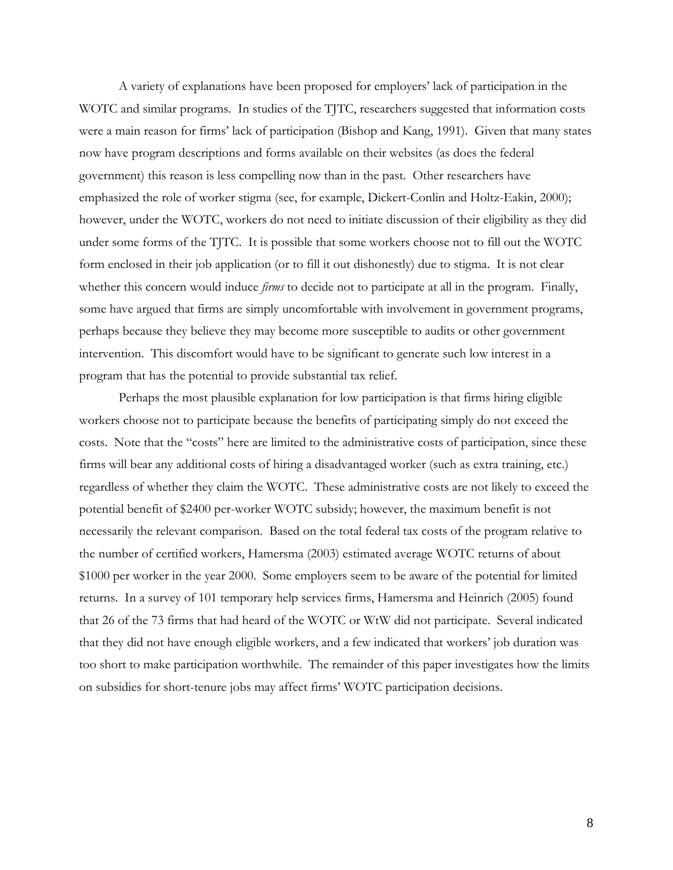A variety of explanations have been proposed for employers' lack of participation in the WOTC and similar programs. In studies of the TJTC, researchers suggested that information costs were a main reason for firms' lack of participation (Bishop and Kang, 1991). Given that many states now have program descriptions and forms available on their websites (as does the federal government) this reason is less compelling now than in the past. Other researchers have emphasized the role of worker stigma (see, for example, Dickert-Conlin and Holtz-Eakin, 2000); however, under the WOTC, workers do not need to initiate discussion of their eligibility as they did under some forms of the TJTC. It is possible that some workers choose not to fill out the WOTC form enclosed in their job application (or to fill it out dishonestly) due to stigma. It is not clear whether this concern would induce *firms* to decide not to participate at all in the program. Finally, some have argued that firms are simply uncomfortable with involvement in government programs, perhaps because they believe they may become more susceptible to audits or other government intervention. This discomfort would have to be significant to generate such low interest in a program that has the potential to provide substantial tax relief.

 Perhaps the most plausible explanation for low participation is that firms hiring eligible workers choose not to participate because the benefits of participating simply do not exceed the costs. Note that the "costs" here are limited to the administrative costs of participation, since these firms will bear any additional costs of hiring a disadvantaged worker (such as extra training, etc.) regardless of whether they claim the WOTC. These administrative costs are not likely to exceed the potential benefit of \$2400 per-worker WOTC subsidy; however, the maximum benefit is not necessarily the relevant comparison. Based on the total federal tax costs of the program relative to the number of certified workers, Hamersma (2003) estimated average WOTC returns of about \$1000 per worker in the year 2000. Some employers seem to be aware of the potential for limited returns. In a survey of 101 temporary help services firms, Hamersma and Heinrich (2005) found that 26 of the 73 firms that had heard of the WOTC or WtW did not participate. Several indicated that they did not have enough eligible workers, and a few indicated that workers' job duration was too short to make participation worthwhile. The remainder of this paper investigates how the limits on subsidies for short-tenure jobs may affect firms' WOTC participation decisions.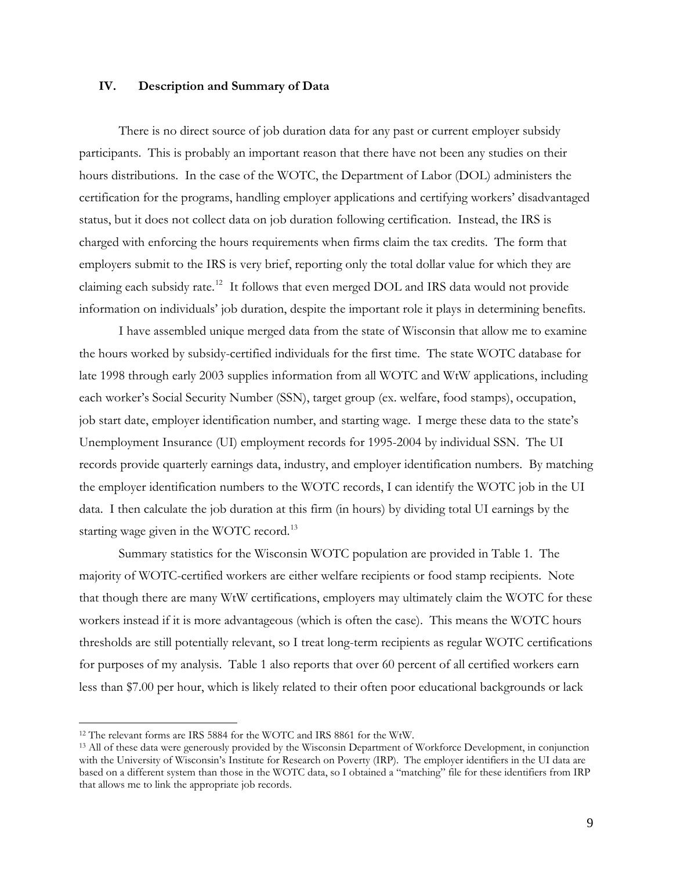### **IV. Description and Summary of Data**

There is no direct source of job duration data for any past or current employer subsidy participants. This is probably an important reason that there have not been any studies on their hours distributions. In the case of the WOTC, the Department of Labor (DOL) administers the certification for the programs, handling employer applications and certifying workers' disadvantaged status, but it does not collect data on job duration following certification. Instead, the IRS is charged with enforcing the hours requirements when firms claim the tax credits. The form that employers submit to the IRS is very brief, reporting only the total dollar value for which they are claiming each subsidy rate.[12](#page-8-0) It follows that even merged DOL and IRS data would not provide information on individuals' job duration, despite the important role it plays in determining benefits.

I have assembled unique merged data from the state of Wisconsin that allow me to examine the hours worked by subsidy-certified individuals for the first time. The state WOTC database for late 1998 through early 2003 supplies information from all WOTC and WtW applications, including each worker's Social Security Number (SSN), target group (ex. welfare, food stamps), occupation, job start date, employer identification number, and starting wage. I merge these data to the state's Unemployment Insurance (UI) employment records for 1995-2004 by individual SSN. The UI records provide quarterly earnings data, industry, and employer identification numbers. By matching the employer identification numbers to the WOTC records, I can identify the WOTC job in the UI data. I then calculate the job duration at this firm (in hours) by dividing total UI earnings by the starting wage given in the WOTC record.<sup>[13](#page-8-1)</sup>

Summary statistics for the Wisconsin WOTC population are provided in Table 1. The majority of WOTC-certified workers are either welfare recipients or food stamp recipients. Note that though there are many WtW certifications, employers may ultimately claim the WOTC for these workers instead if it is more advantageous (which is often the case). This means the WOTC hours thresholds are still potentially relevant, so I treat long-term recipients as regular WOTC certifications for purposes of my analysis. Table 1 also reports that over 60 percent of all certified workers earn less than \$7.00 per hour, which is likely related to their often poor educational backgrounds or lack

<span id="page-8-0"></span><sup>&</sup>lt;sup>12</sup> The relevant forms are IRS 5884 for the WOTC and IRS 8861 for the WtW.

<span id="page-8-1"></span><sup>&</sup>lt;sup>13</sup> All of these data were generously provided by the Wisconsin Department of Workforce Development, in conjunction with the University of Wisconsin's Institute for Research on Poverty (IRP). The employer identifiers in the UI data are based on a different system than those in the WOTC data, so I obtained a "matching" file for these identifiers from IRP that allows me to link the appropriate job records.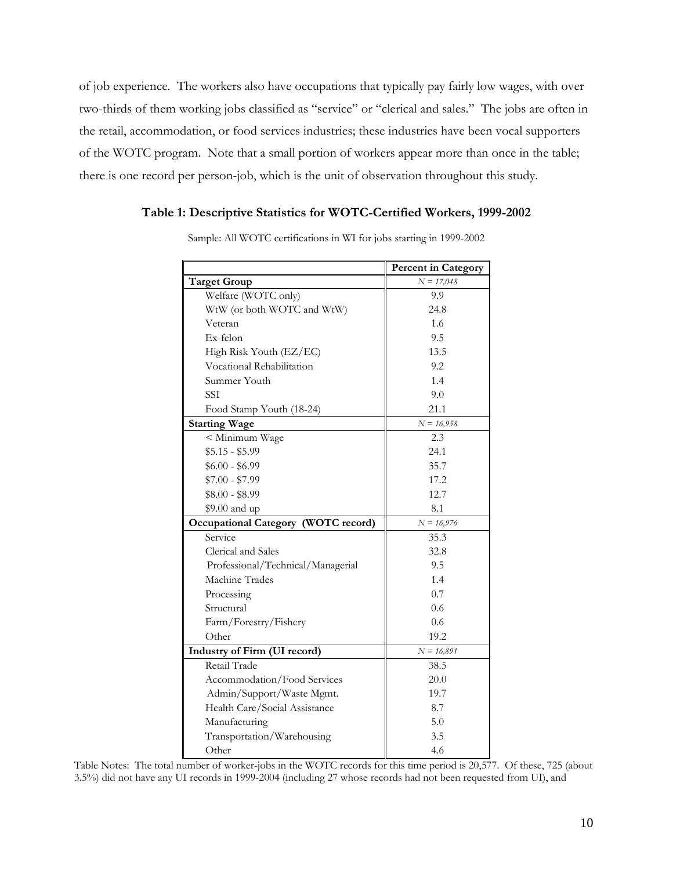of job experience. The workers also have occupations that typically pay fairly low wages, with over two-thirds of them working jobs classified as "service" or "clerical and sales." The jobs are often in the retail, accommodation, or food services industries; these industries have been vocal supporters of the WOTC program. Note that a small portion of workers appear more than once in the table; there is one record per person-job, which is the unit of observation throughout this study.

### **Table 1: Descriptive Statistics for WOTC-Certified Workers, 1999-2002**

|                                     | <b>Percent in Category</b> |
|-------------------------------------|----------------------------|
| <b>Target Group</b>                 | $N = 17,048$               |
| Welfare (WOTC only)                 | 9.9                        |
| WtW (or both WOTC and WtW)          | 24.8                       |
| Veteran                             | 1.6                        |
| Ex-felon                            | 9.5                        |
| High Risk Youth (EZ/EC)             | 13.5                       |
| Vocational Rehabilitation           | 9.2                        |
| Summer Youth                        | 1.4                        |
| <b>SSI</b>                          | 9.0                        |
| Food Stamp Youth (18-24)            | 21.1                       |
| <b>Starting Wage</b>                | $N = 16,958$               |
| < Minimum Wage                      | 2.3                        |
| $$5.15 - $5.99$                     | 24.1                       |
| $$6.00 - $6.99$                     | 35.7                       |
| $$7.00 - $7.99$                     | 17.2                       |
| $$8.00 - $8.99$                     | 12.7                       |
| \$9.00 and up                       | 8.1                        |
| Occupational Category (WOTC record) | $N = 16,976$               |
| Service                             | 35.3                       |
| Clerical and Sales                  | 32.8                       |
| Professional/Technical/Managerial   | 9.5                        |
| Machine Trades                      | 1.4                        |
| Processing                          | 0.7                        |
| Structural                          | 0.6                        |
| Farm/Forestry/Fishery               | 0.6                        |
| Other                               | 19.2                       |
| Industry of Firm (UI record)        | $N = 16,891$               |
| Retail Trade                        | 38.5                       |
| Accommodation/Food Services         | 20.0                       |
| Admin/Support/Waste Mgmt.           | 19.7                       |
| Health Care/Social Assistance       | 8.7                        |
| Manufacturing                       | 5.0                        |
| Transportation/Warehousing          | 3.5                        |
| Other                               | 4.6                        |

Sample: All WOTC certifications in WI for jobs starting in 1999-2002

Table Notes: The total number of worker-jobs in the WOTC records for this time period is 20,577. Of these, 725 (about 3.5%) did not have any UI records in 1999-2004 (including 27 whose records had not been requested from UI), and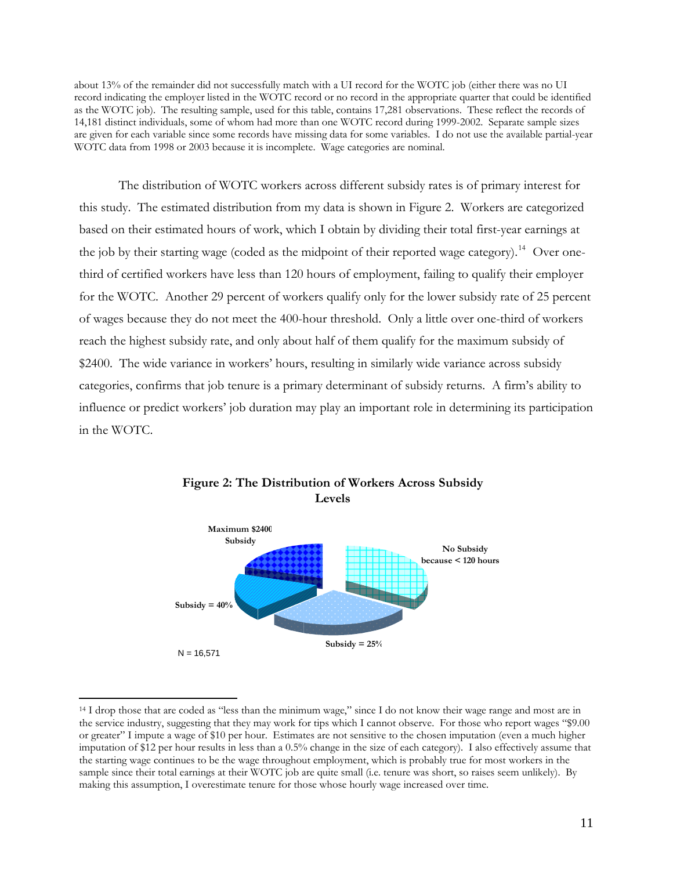about 13% of the remainder did not successfully match with a UI record for the WOTC job (either there was no UI record indicating the employer listed in the WOTC record or no record in the appropriate quarter that could be identified as the WOTC job). The resulting sample, used for this table, contains 17,281 observations. These reflect the records of 14,181 distinct individuals, some of whom had more than one WOTC record during 1999-2002. Separate sample sizes are given for each variable since some records have missing data for some variables. I do not use the available partial-year WOTC data from 1998 or 2003 because it is incomplete. Wage categories are nominal.

The distribution of WOTC workers across different subsidy rates is of primary interest for this study. The estimated distribution from my data is shown in Figure 2. Workers are categorized based on their estimated hours of work, which I obtain by dividing their total first-year earnings at the job by their starting wage (coded as the midpoint of their reported wage category).<sup>[14](#page-10-0)</sup> Over onethird of certified workers have less than 120 hours of employment, failing to qualify their employer for the WOTC. Another 29 percent of workers qualify only for the lower subsidy rate of 25 percent of wages because they do not meet the 400-hour threshold. Only a little over one-third of workers reach the highest subsidy rate, and only about half of them qualify for the maximum subsidy of \$2400. The wide variance in workers' hours, resulting in similarly wide variance across subsidy categories, confirms that job tenure is a primary determinant of subsidy returns. A firm's ability to influence or predict workers' job duration may play an important role in determining its participation in the WOTC.



### **Figure 2: The Distribution of Workers Across Subsidy Levels**

<span id="page-10-0"></span><sup>&</sup>lt;sup>14</sup> I drop those that are coded as "less than the minimum wage," since I do not know their wage range and most are in the service industry, suggesting that they may work for tips which I cannot observe. For those who report wages "\$9.00 or greater" I impute a wage of \$10 per hour. Estimates are not sensitive to the chosen imputation (even a much higher imputation of \$12 per hour results in less than a 0.5% change in the size of each category). I also effectively assume that the starting wage continues to be the wage throughout employment, which is probably true for most workers in the sample since their total earnings at their WOTC job are quite small (i.e. tenure was short, so raises seem unlikely). By making this assumption, I overestimate tenure for those whose hourly wage increased over time.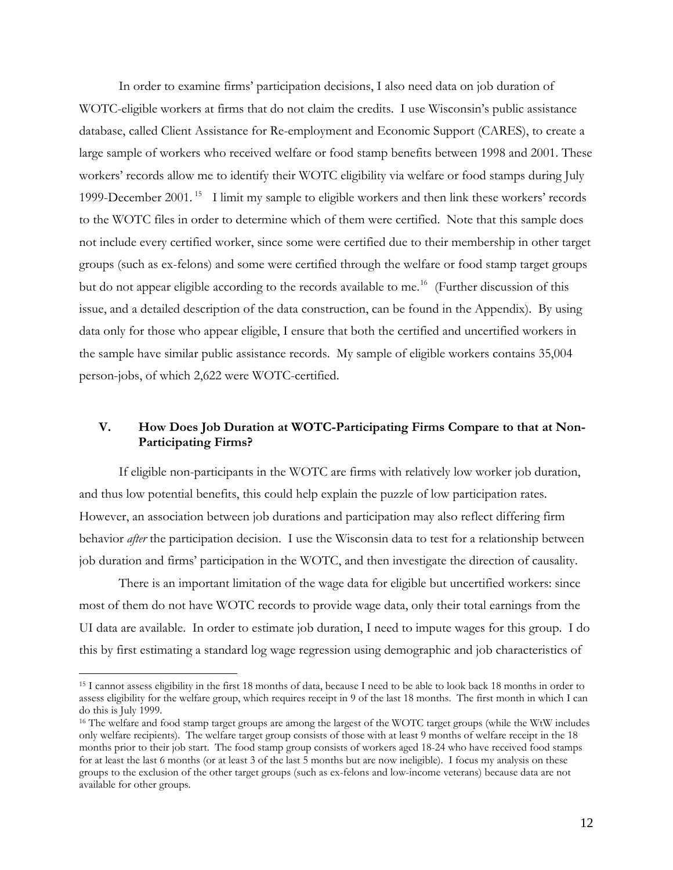In order to examine firms' participation decisions, I also need data on job duration of WOTC-eligible workers at firms that do not claim the credits. I use Wisconsin's public assistance database, called Client Assistance for Re-employment and Economic Support (CARES), to create a large sample of workers who received welfare or food stamp benefits between 1998 and 2001. These workers' records allow me to identify their WOTC eligibility via welfare or food stamps during July 1999-December 2001. [15](#page-11-0) I limit my sample to eligible workers and then link these workers' records to the WOTC files in order to determine which of them were certified. Note that this sample does not include every certified worker, since some were certified due to their membership in other target groups (such as ex-felons) and some were certified through the welfare or food stamp target groups but do not appear eligible according to the records available to me.<sup>[16](#page-11-1)</sup> (Further discussion of this issue, and a detailed description of the data construction, can be found in the Appendix). By using data only for those who appear eligible, I ensure that both the certified and uncertified workers in the sample have similar public assistance records. My sample of eligible workers contains 35,004 person-jobs, of which 2,622 were WOTC-certified.

### **V. How Does Job Duration at WOTC-Participating Firms Compare to that at Non-Participating Firms?**

If eligible non-participants in the WOTC are firms with relatively low worker job duration, and thus low potential benefits, this could help explain the puzzle of low participation rates. However, an association between job durations and participation may also reflect differing firm behavior *after* the participation decision. I use the Wisconsin data to test for a relationship between job duration and firms' participation in the WOTC, and then investigate the direction of causality.

There is an important limitation of the wage data for eligible but uncertified workers: since most of them do not have WOTC records to provide wage data, only their total earnings from the UI data are available. In order to estimate job duration, I need to impute wages for this group. I do this by first estimating a standard log wage regression using demographic and job characteristics of

<span id="page-11-0"></span><sup>15</sup> I cannot assess eligibility in the first 18 months of data, because I need to be able to look back 18 months in order to assess eligibility for the welfare group, which requires receipt in 9 of the last 18 months. The first month in which I can do this is July 1999.

<span id="page-11-1"></span><sup>&</sup>lt;sup>16</sup> The welfare and food stamp target groups are among the largest of the WOTC target groups (while the WtW includes only welfare recipients). The welfare target group consists of those with at least 9 months of welfare receipt in the 18 months prior to their job start. The food stamp group consists of workers aged 18-24 who have received food stamps for at least the last 6 months (or at least 3 of the last 5 months but are now ineligible). I focus my analysis on these groups to the exclusion of the other target groups (such as ex-felons and low-income veterans) because data are not available for other groups.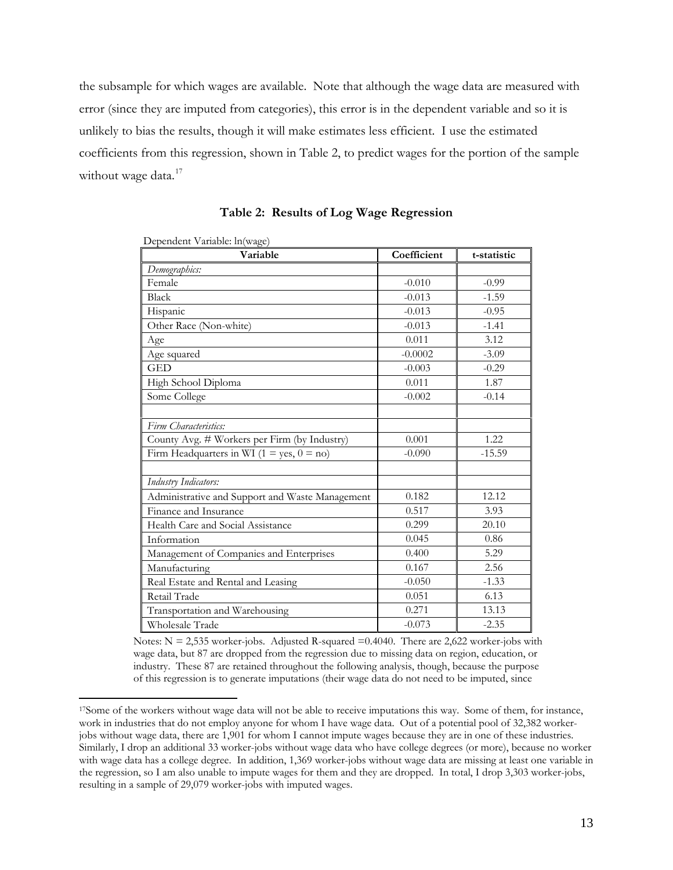the subsample for which wages are available. Note that although the wage data are measured with error (since they are imputed from categories), this error is in the dependent variable and so it is unlikely to bias the results, though it will make estimates less efficient. I use the estimated coefficients from this regression, shown in Table 2, to predict wages for the portion of the sample without wage data.<sup>[17](#page-12-0)</sup>

| Dependent Variable: ln(wage)                     |             |             |
|--------------------------------------------------|-------------|-------------|
| Variable                                         | Coefficient | t-statistic |
| Demographics:                                    |             |             |
| Female                                           | $-0.010$    | $-0.99$     |
| <b>Black</b>                                     | $-0.013$    | $-1.59$     |
| Hispanic                                         | $-0.013$    | $-0.95$     |
| Other Race (Non-white)                           | $-0.013$    | $-1.41$     |
| Age                                              | 0.011       | 3.12        |
| Age squared                                      | $-0.0002$   | $-3.09$     |
| <b>GED</b>                                       | $-0.003$    | $-0.29$     |
| High School Diploma                              | 0.011       | 1.87        |
| Some College                                     | $-0.002$    | $-0.14$     |
|                                                  |             |             |
| Firm Characteristics:                            |             |             |
| County Avg. # Workers per Firm (by Industry)     | 0.001       | 1.22        |
| Firm Headquarters in WI ( $1 = yes$ , $0 = no$ ) | $-0.090$    | $-15.59$    |
|                                                  |             |             |
| Industry Indicators:                             |             |             |
| Administrative and Support and Waste Management  | 0.182       | 12.12       |
| Finance and Insurance                            | 0.517       | 3.93        |
| Health Care and Social Assistance                | 0.299       | 20.10       |
| Information                                      | 0.045       | 0.86        |
| Management of Companies and Enterprises          | 0.400       | 5.29        |
| Manufacturing                                    | 0.167       | 2.56        |
| Real Estate and Rental and Leasing               | $-0.050$    | $-1.33$     |
| Retail Trade                                     | 0.051       | 6.13        |
| Transportation and Warehousing                   | 0.271       | 13.13       |
| Wholesale Trade                                  | $-0.073$    | $-2.35$     |

**Table 2: Results of Log Wage Regression** 

Notes:  $N = 2,535$  worker-jobs. Adjusted R-squared  $= 0.4040$ . There are 2,622 worker-jobs with wage data, but 87 are dropped from the regression due to missing data on region, education, or industry. These 87 are retained throughout the following analysis, though, because the purpose of this regression is to generate imputations (their wage data do not need to be imputed, since

<span id="page-12-0"></span><sup>17</sup>Some of the workers without wage data will not be able to receive imputations this way. Some of them, for instance, work in industries that do not employ anyone for whom I have wage data. Out of a potential pool of 32,382 workerjobs without wage data, there are 1,901 for whom I cannot impute wages because they are in one of these industries. Similarly, I drop an additional 33 worker-jobs without wage data who have college degrees (or more), because no worker with wage data has a college degree. In addition, 1,369 worker-jobs without wage data are missing at least one variable in the regression, so I am also unable to impute wages for them and they are dropped. In total, I drop 3,303 worker-jobs, resulting in a sample of 29,079 worker-jobs with imputed wages.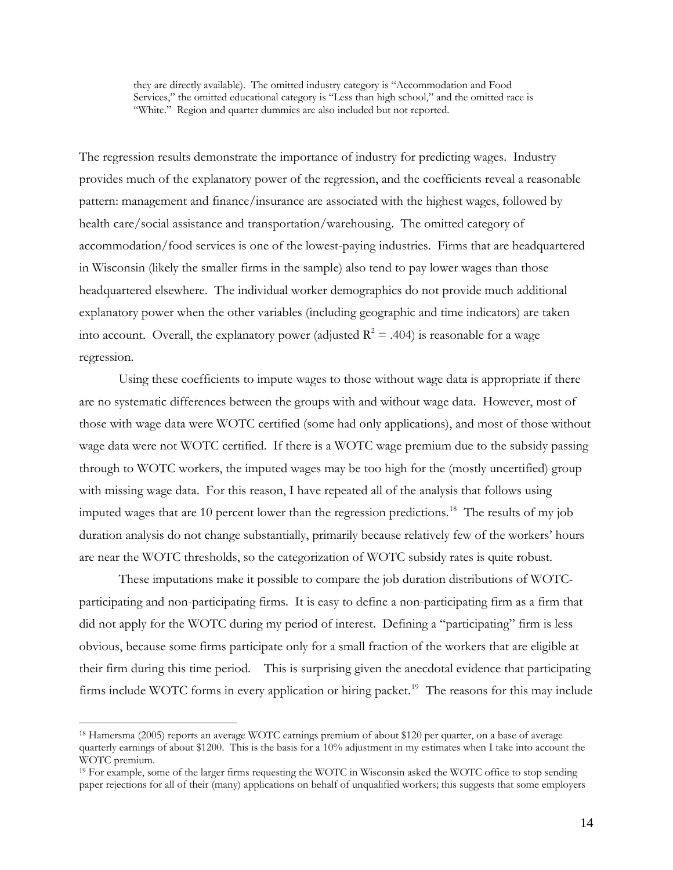they are directly available). The omitted industry category is "Accommodation and Food Services," the omitted educational category is "Less than high school," and the omitted race is "White." Region and quarter dummies are also included but not reported.

The regression results demonstrate the importance of industry for predicting wages. Industry provides much of the explanatory power of the regression, and the coefficients reveal a reasonable pattern: management and finance/insurance are associated with the highest wages, followed by health care/social assistance and transportation/warehousing. The omitted category of accommodation/food services is one of the lowest-paying industries. Firms that are headquartered in Wisconsin (likely the smaller firms in the sample) also tend to pay lower wages than those headquartered elsewhere. The individual worker demographics do not provide much additional explanatory power when the other variables (including geographic and time indicators) are taken into account. Overall, the explanatory power (adjusted  $R^2 = .404$ ) is reasonable for a wage regression.

Using these coefficients to impute wages to those without wage data is appropriate if there are no systematic differences between the groups with and without wage data. However, most of those with wage data were WOTC certified (some had only applications), and most of those without wage data were not WOTC certified. If there is a WOTC wage premium due to the subsidy passing through to WOTC workers, the imputed wages may be too high for the (mostly uncertified) group with missing wage data. For this reason, I have repeated all of the analysis that follows using imputed wages that are 10 percent lower than the regression predictions.<sup>[18](#page-13-0)</sup> The results of my job duration analysis do not change substantially, primarily because relatively few of the workers' hours are near the WOTC thresholds, so the categorization of WOTC subsidy rates is quite robust.

These imputations make it possible to compare the job duration distributions of WOTCparticipating and non-participating firms. It is easy to define a non-participating firm as a firm that did not apply for the WOTC during my period of interest. Defining a "participating" firm is less obvious, because some firms participate only for a small fraction of the workers that are eligible at their firm during this time period. This is surprising given the anecdotal evidence that participating firms include WOTC forms in every application or hiring packet.<sup>[19](#page-13-1)</sup> The reasons for this may include

<span id="page-13-0"></span><sup>18</sup> Hamersma (2005) reports an average WOTC earnings premium of about \$120 per quarter, on a base of average quarterly earnings of about \$1200. This is the basis for a 10% adjustment in my estimates when I take into account the WOTC premium.

<span id="page-13-1"></span><sup>&</sup>lt;sup>19</sup> For example, some of the larger firms requesting the WOTC in Wisconsin asked the WOTC office to stop sending paper rejections for all of their (many) applications on behalf of unqualified workers; this suggests that some employers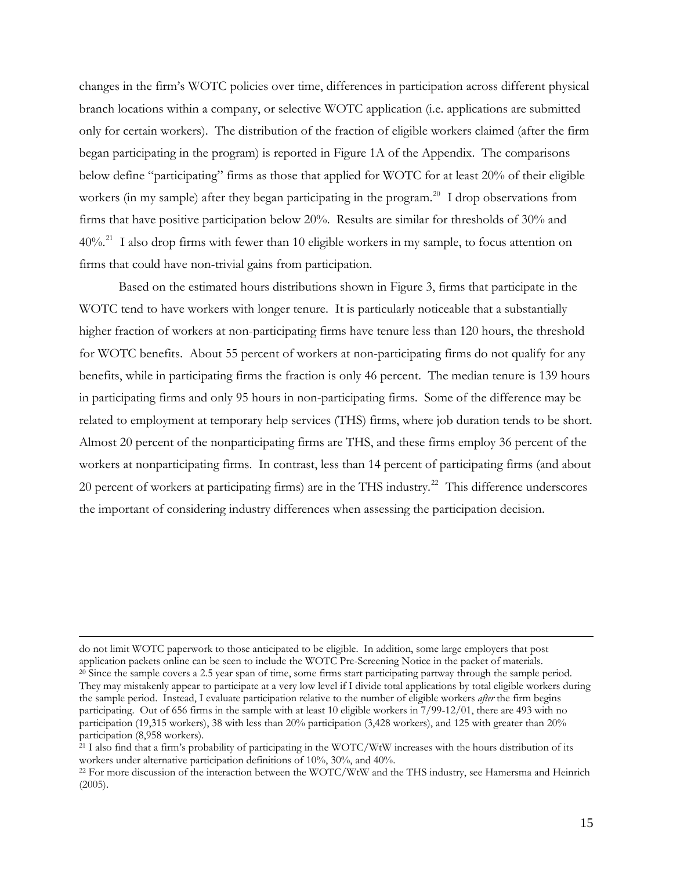changes in the firm's WOTC policies over time, differences in participation across different physical branch locations within a company, or selective WOTC application (i.e. applications are submitted only for certain workers). The distribution of the fraction of eligible workers claimed (after the firm began participating in the program) is reported in Figure 1A of the Appendix. The comparisons below define "participating" firms as those that applied for WOTC for at least 20% of their eligible workers (in my sample) after they began participating in the program.<sup>[20](#page-14-0)</sup> I drop observations from firms that have positive participation below 20%. Results are similar for thresholds of 30% and 40%.[21](#page-14-1) I also drop firms with fewer than 10 eligible workers in my sample, to focus attention on firms that could have non-trivial gains from participation.

Based on the estimated hours distributions shown in Figure 3, firms that participate in the WOTC tend to have workers with longer tenure. It is particularly noticeable that a substantially higher fraction of workers at non-participating firms have tenure less than 120 hours, the threshold for WOTC benefits. About 55 percent of workers at non-participating firms do not qualify for any benefits, while in participating firms the fraction is only 46 percent. The median tenure is 139 hours in participating firms and only 95 hours in non-participating firms. Some of the difference may be related to employment at temporary help services (THS) firms, where job duration tends to be short. Almost 20 percent of the nonparticipating firms are THS, and these firms employ 36 percent of the workers at nonparticipating firms. In contrast, less than 14 percent of participating firms (and about 20 percent of workers at participating firms) are in the THS industry.<sup>[22](#page-14-2)</sup> This difference underscores the important of considering industry differences when assessing the participation decision.

<span id="page-14-0"></span>do not limit WOTC paperwork to those anticipated to be eligible. In addition, some large employers that post application packets online can be seen to include the WOTC Pre-Screening Notice in the packet of materials.  $^{20}$  Since the sample covers a 2.5 year span of time, some firms start participating partway through the sample period. They may mistakenly appear to participate at a very low level if I divide total applications by total eligible workers during the sample period. Instead, I evaluate participation relative to the number of eligible workers *after* the firm begins participating. Out of 656 firms in the sample with at least 10 eligible workers in 7/99-12/01, there are 493 with no participation (19,315 workers), 38 with less than 20% participation (3,428 workers), and 125 with greater than 20% participation (8,958 workers).

<span id="page-14-1"></span> $^{21}$  I also find that a firm's probability of participating in the WOTC/WtW increases with the hours distribution of its workers under alternative participation definitions of 10%, 30%, and 40%.

<span id="page-14-2"></span> $^{22}$  For more discussion of the interaction between the WOTC/WtW and the THS industry, see Hamersma and Heinrich (2005).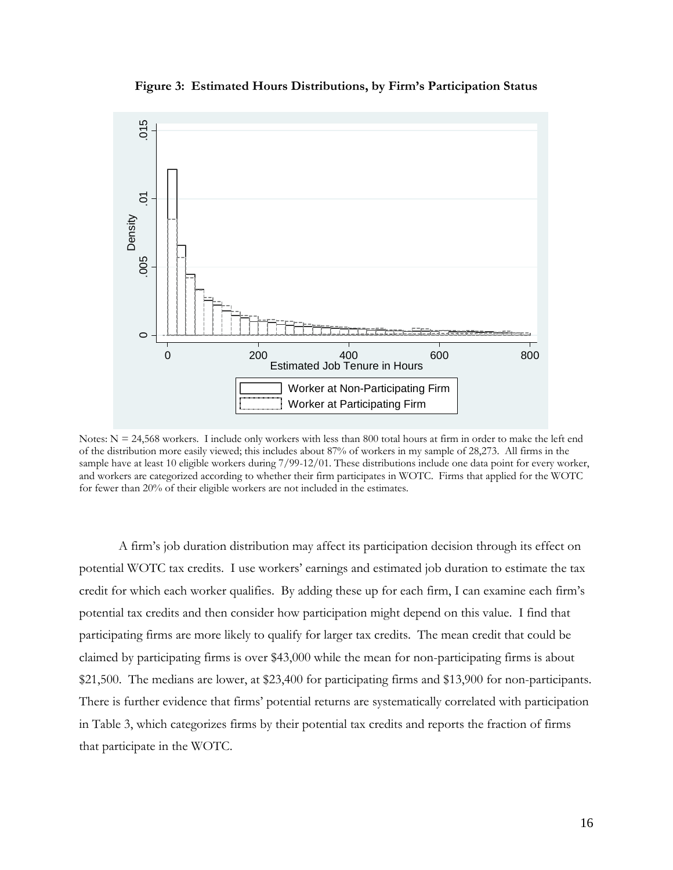**Figure 3: Estimated Hours Distributions, by Firm's Participation Status** 



 Notes:  $N = 24,568$  workers. I include only workers with less than 800 total hours at firm in order to make the left end of the distribution more easily viewed; this includes about 87% of workers in my sample of 28,273. All firms in the sample have at least 10 eligible workers during 7/99-12/01. These distributions include one data point for every worker, and workers are categorized according to whether their firm participates in WOTC. Firms that applied for the WOTC for fewer than 20% of their eligible workers are not included in the estimates.

A firm's job duration distribution may affect its participation decision through its effect on potential WOTC tax credits. I use workers' earnings and estimated job duration to estimate the tax credit for which each worker qualifies. By adding these up for each firm, I can examine each firm's potential tax credits and then consider how participation might depend on this value. I find that participating firms are more likely to qualify for larger tax credits. The mean credit that could be claimed by participating firms is over \$43,000 while the mean for non-participating firms is about \$21,500. The medians are lower, at \$23,400 for participating firms and \$13,900 for non-participants. There is further evidence that firms' potential returns are systematically correlated with participation in Table 3, which categorizes firms by their potential tax credits and reports the fraction of firms that participate in the WOTC.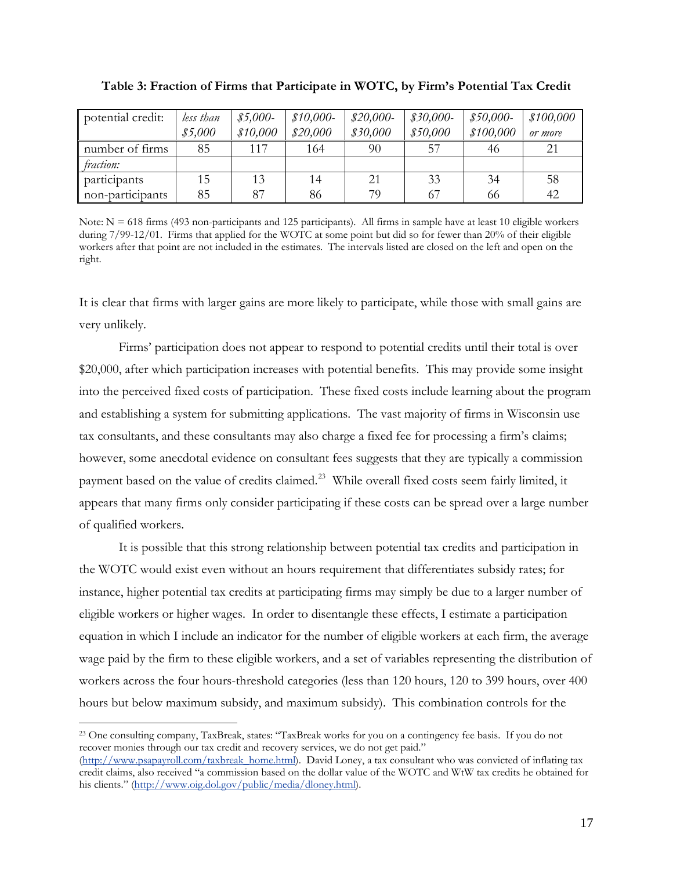| potential credit: | less than | $$5,000-$ | $$10,000-$ | $$20,000-$ | $$30,000-$ | $$50,000-$ | \$100,000 |
|-------------------|-----------|-----------|------------|------------|------------|------------|-----------|
|                   | \$5,000   | \$10,000  | \$20,000   | \$30,000   | \$50,000   | \$100,000  | or more   |
| number of firms   | 85        | 117       | 164        | 90         | 57         | 46         | 21        |
| fraction:         |           |           |            |            |            |            |           |
| participants      | 15        | 13        | 14         | 21         | 33         | 34         | 58        |
| non-participants  | 85        | 87        | 86         | 79         | 67         | 66         | 42        |

| Table 3: Fraction of Firms that Participate in WOTC, by Firm's Potential Tax Credit |  |  |  |
|-------------------------------------------------------------------------------------|--|--|--|
|                                                                                     |  |  |  |

Note:  $N = 618$  firms (493 non-participants and 125 participants). All firms in sample have at least 10 eligible workers during 7/99-12/01. Firms that applied for the WOTC at some point but did so for fewer than 20% of their eligible workers after that point are not included in the estimates. The intervals listed are closed on the left and open on the right.

It is clear that firms with larger gains are more likely to participate, while those with small gains are very unlikely.

Firms' participation does not appear to respond to potential credits until their total is over \$20,000, after which participation increases with potential benefits. This may provide some insight into the perceived fixed costs of participation. These fixed costs include learning about the program and establishing a system for submitting applications. The vast majority of firms in Wisconsin use tax consultants, and these consultants may also charge a fixed fee for processing a firm's claims; however, some anecdotal evidence on consultant fees suggests that they are typically a commission payment based on the value of credits claimed.<sup>[23](#page-16-0)</sup> While overall fixed costs seem fairly limited, it appears that many firms only consider participating if these costs can be spread over a large number of qualified workers.

It is possible that this strong relationship between potential tax credits and participation in the WOTC would exist even without an hours requirement that differentiates subsidy rates; for instance, higher potential tax credits at participating firms may simply be due to a larger number of eligible workers or higher wages. In order to disentangle these effects, I estimate a participation equation in which I include an indicator for the number of eligible workers at each firm, the average wage paid by the firm to these eligible workers, and a set of variables representing the distribution of workers across the four hours-threshold categories (less than 120 hours, 120 to 399 hours, over 400 hours but below maximum subsidy, and maximum subsidy). This combination controls for the

<span id="page-16-0"></span><sup>23</sup> One consulting company, TaxBreak, states: "TaxBreak works for you on a contingency fee basis. If you do not recover monies through our tax credit and recovery services, we do not get paid."

<sup>(</sup>[http://www.psapayroll.com/taxbreak\\_home.html\)](http://www.psapayroll.com/taxbreak_home.html). David Loney, a tax consultant who was convicted of inflating tax credit claims, also received "a commission based on the dollar value of the WOTC and WtW tax credits he obtained for his clients." [\(http://www.oig.dol.gov/public/media/dloney.html\)](http://www.oig.dol.gov/public/media/dloney.html).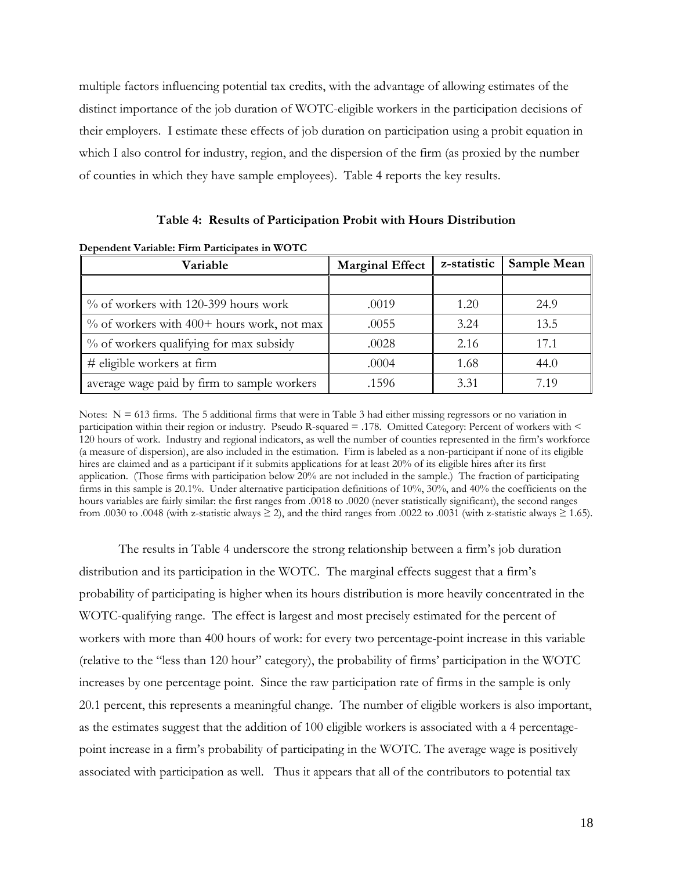multiple factors influencing potential tax credits, with the advantage of allowing estimates of the distinct importance of the job duration of WOTC-eligible workers in the participation decisions of their employers. I estimate these effects of job duration on participation using a probit equation in which I also control for industry, region, and the dispersion of the firm (as proxied by the number of counties in which they have sample employees). Table 4 reports the key results.

| Dependent Variable: Firm Participates in WOTC |                        |             |             |  |  |  |
|-----------------------------------------------|------------------------|-------------|-------------|--|--|--|
| Variable                                      | <b>Marginal Effect</b> | z-statistic | Sample Mean |  |  |  |
|                                               |                        |             |             |  |  |  |
| $\%$ of workers with 120-399 hours work       | .0019                  | 1.20        | 24.9        |  |  |  |
| $\%$ of workers with 400+ hours work, not max | .0055                  | 3.24        | 13.5        |  |  |  |
| % of workers qualifying for max subsidy       | .0028                  | 2.16        | 17.1        |  |  |  |
| # eligible workers at firm                    | .0004                  | 1.68        | 44.0        |  |  |  |
| average wage paid by firm to sample workers   | .1596                  | 3.31        | 7.19        |  |  |  |

#### **Table 4: Results of Participation Probit with Hours Distribution**

Notes:  $N = 613$  firms. The 5 additional firms that were in Table 3 had either missing regressors or no variation in participation within their region or industry. Pseudo R-squared = .178. Omitted Category: Percent of workers with < 120 hours of work. Industry and regional indicators, as well the number of counties represented in the firm's workforce (a measure of dispersion), are also included in the estimation. Firm is labeled as a non-participant if none of its eligible hires are claimed and as a participant if it submits applications for at least 20% of its eligible hires after its first application. (Those firms with participation below 20% are not included in the sample.) The fraction of participating firms in this sample is 20.1%. Under alternative participation definitions of 10%, 30%, and 40% the coefficients on the hours variables are fairly similar: the first ranges from .0018 to .0020 (never statistically significant), the second ranges from .0030 to .0048 (with z-statistic always  $\geq$  2), and the third ranges from .0022 to .0031 (with z-statistic always  $\geq$  1.65).

The results in Table 4 underscore the strong relationship between a firm's job duration distribution and its participation in the WOTC. The marginal effects suggest that a firm's probability of participating is higher when its hours distribution is more heavily concentrated in the WOTC-qualifying range. The effect is largest and most precisely estimated for the percent of workers with more than 400 hours of work: for every two percentage-point increase in this variable (relative to the "less than 120 hour" category), the probability of firms' participation in the WOTC increases by one percentage point. Since the raw participation rate of firms in the sample is only 20.1 percent, this represents a meaningful change. The number of eligible workers is also important, as the estimates suggest that the addition of 100 eligible workers is associated with a 4 percentagepoint increase in a firm's probability of participating in the WOTC. The average wage is positively associated with participation as well. Thus it appears that all of the contributors to potential tax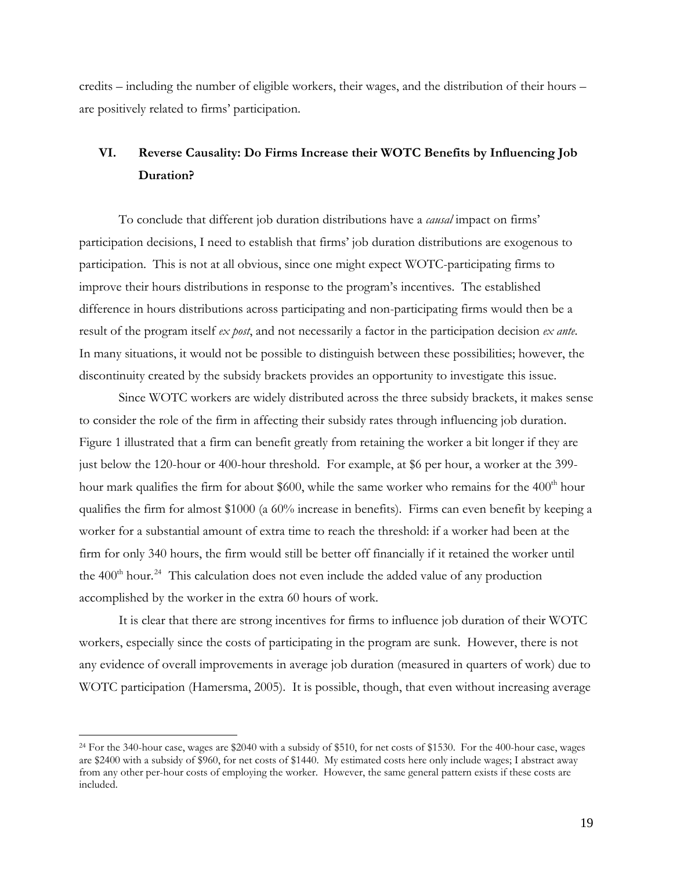credits – including the number of eligible workers, their wages, and the distribution of their hours – are positively related to firms' participation.

# **VI. Reverse Causality: Do Firms Increase their WOTC Benefits by Influencing Job Duration?**

To conclude that different job duration distributions have a *causal* impact on firms' participation decisions, I need to establish that firms' job duration distributions are exogenous to participation. This is not at all obvious, since one might expect WOTC-participating firms to improve their hours distributions in response to the program's incentives. The established difference in hours distributions across participating and non-participating firms would then be a result of the program itself *ex post*, and not necessarily a factor in the participation decision *ex ante*. In many situations, it would not be possible to distinguish between these possibilities; however, the discontinuity created by the subsidy brackets provides an opportunity to investigate this issue.

Since WOTC workers are widely distributed across the three subsidy brackets, it makes sense to consider the role of the firm in affecting their subsidy rates through influencing job duration. Figure 1 illustrated that a firm can benefit greatly from retaining the worker a bit longer if they are just below the 120-hour or 400-hour threshold. For example, at \$6 per hour, a worker at the 399 hour mark qualifies the firm for about \$600, while the same worker who remains for the  $400<sup>th</sup>$  hour qualifies the firm for almost \$1000 (a 60% increase in benefits). Firms can even benefit by keeping a worker for a substantial amount of extra time to reach the threshold: if a worker had been at the firm for only 340 hours, the firm would still be better off financially if it retained the worker until the  $400<sup>th</sup> hour.<sup>24</sup>$  $400<sup>th</sup> hour.<sup>24</sup>$  $400<sup>th</sup> hour.<sup>24</sup>$  This calculation does not even include the added value of any production accomplished by the worker in the extra 60 hours of work.

It is clear that there are strong incentives for firms to influence job duration of their WOTC workers, especially since the costs of participating in the program are sunk. However, there is not any evidence of overall improvements in average job duration (measured in quarters of work) due to WOTC participation (Hamersma, 2005). It is possible, though, that even without increasing average

<span id="page-18-0"></span><sup>24</sup> For the 340-hour case, wages are \$2040 with a subsidy of \$510, for net costs of \$1530. For the 400-hour case, wages are \$2400 with a subsidy of \$960, for net costs of \$1440. My estimated costs here only include wages; I abstract away from any other per-hour costs of employing the worker. However, the same general pattern exists if these costs are included.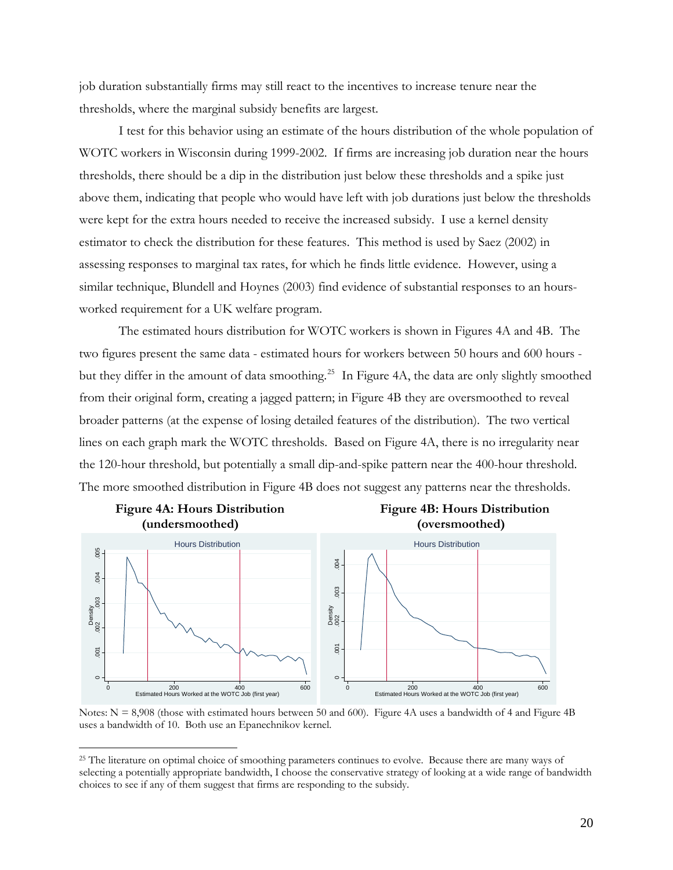job duration substantially firms may still react to the incentives to increase tenure near the thresholds, where the marginal subsidy benefits are largest.

I test for this behavior using an estimate of the hours distribution of the whole population of WOTC workers in Wisconsin during 1999-2002. If firms are increasing job duration near the hours thresholds, there should be a dip in the distribution just below these thresholds and a spike just above them, indicating that people who would have left with job durations just below the thresholds were kept for the extra hours needed to receive the increased subsidy. I use a kernel density estimator to check the distribution for these features. This method is used by Saez (2002) in assessing responses to marginal tax rates, for which he finds little evidence. However, using a similar technique, Blundell and Hoynes (2003) find evidence of substantial responses to an hoursworked requirement for a UK welfare program.

The estimated hours distribution for WOTC workers is shown in Figures 4A and 4B. The two figures present the same data - estimated hours for workers between 50 hours and 600 hours - but they differ in the amount of data smoothing.<sup>[25](#page-19-0)</sup> In Figure 4A, the data are only slightly smoothed from their original form, creating a jagged pattern; in Figure 4B they are oversmoothed to reveal broader patterns (at the expense of losing detailed features of the distribution). The two vertical lines on each graph mark the WOTC thresholds. Based on Figure 4A, there is no irregularity near the 120-hour threshold, but potentially a small dip-and-spike pattern near the 400-hour threshold. The more smoothed distribution in Figure 4B does not suggest any patterns near the thresholds.



Notes:  $N = 8,908$  (those with estimated hours between 50 and 600). Figure 4A uses a bandwidth of 4 and Figure 4B uses a bandwidth of 10. Both use an Epanechnikov kernel.

<span id="page-19-0"></span><sup>&</sup>lt;sup>25</sup> The literature on optimal choice of smoothing parameters continues to evolve. Because there are many ways of selecting a potentially appropriate bandwidth, I choose the conservative strategy of looking at a wide range of bandwidth choices to see if any of them suggest that firms are responding to the subsidy.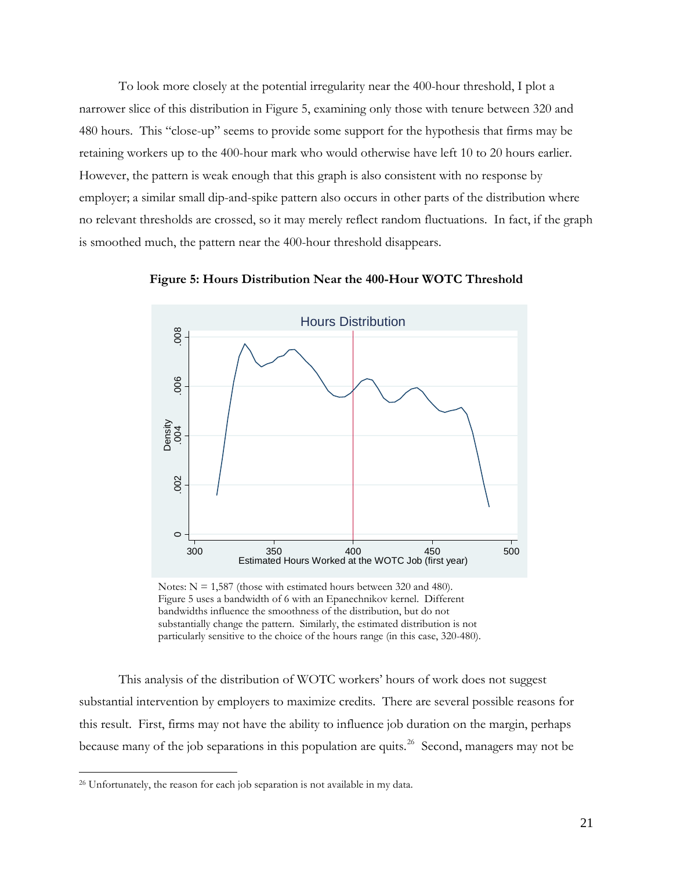To look more closely at the potential irregularity near the 400-hour threshold, I plot a narrower slice of this distribution in Figure 5, examining only those with tenure between 320 and 480 hours. This "close-up" seems to provide some support for the hypothesis that firms may be retaining workers up to the 400-hour mark who would otherwise have left 10 to 20 hours earlier. However, the pattern is weak enough that this graph is also consistent with no response by employer; a similar small dip-and-spike pattern also occurs in other parts of the distribution where no relevant thresholds are crossed, so it may merely reflect random fluctuations. In fact, if the graph is smoothed much, the pattern near the 400-hour threshold disappears.



**Figure 5: Hours Distribution Near the 400-Hour WOTC Threshold** 

Notes:  $N = 1,587$  (those with estimated hours between 320 and 480). Figure 5 uses a bandwidth of 6 with an Epanechnikov kernel. Different bandwidths influence the smoothness of the distribution, but do not substantially change the pattern. Similarly, the estimated distribution is not particularly sensitive to the choice of the hours range (in this case, 320-480).

This analysis of the distribution of WOTC workers' hours of work does not suggest substantial intervention by employers to maximize credits. There are several possible reasons for this result. First, firms may not have the ability to influence job duration on the margin, perhaps because many of the job separations in this population are quits.<sup>[26](#page-20-0)</sup> Second, managers may not be

<span id="page-20-0"></span><sup>&</sup>lt;sup>26</sup> Unfortunately, the reason for each job separation is not available in my data.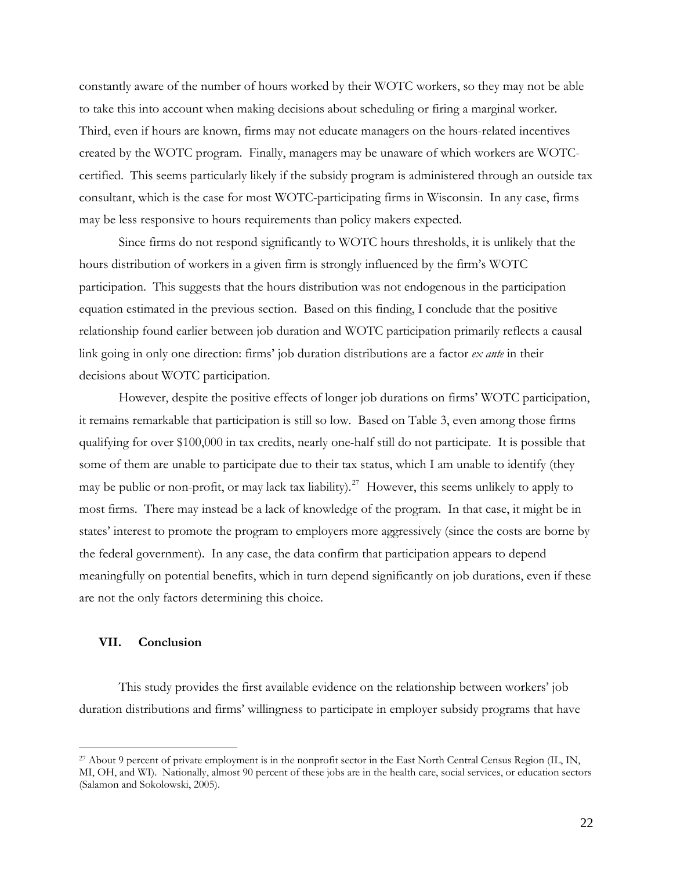constantly aware of the number of hours worked by their WOTC workers, so they may not be able to take this into account when making decisions about scheduling or firing a marginal worker. Third, even if hours are known, firms may not educate managers on the hours-related incentives created by the WOTC program. Finally, managers may be unaware of which workers are WOTCcertified. This seems particularly likely if the subsidy program is administered through an outside tax consultant, which is the case for most WOTC-participating firms in Wisconsin. In any case, firms may be less responsive to hours requirements than policy makers expected.

Since firms do not respond significantly to WOTC hours thresholds, it is unlikely that the hours distribution of workers in a given firm is strongly influenced by the firm's WOTC participation. This suggests that the hours distribution was not endogenous in the participation equation estimated in the previous section. Based on this finding, I conclude that the positive relationship found earlier between job duration and WOTC participation primarily reflects a causal link going in only one direction: firms' job duration distributions are a factor *ex ante* in their decisions about WOTC participation.

However, despite the positive effects of longer job durations on firms' WOTC participation, it remains remarkable that participation is still so low. Based on Table 3, even among those firms qualifying for over \$100,000 in tax credits, nearly one-half still do not participate. It is possible that some of them are unable to participate due to their tax status, which I am unable to identify (they may be public or non-profit, or may lack tax liability).<sup>[27](#page-21-0)</sup> However, this seems unlikely to apply to most firms. There may instead be a lack of knowledge of the program. In that case, it might be in states' interest to promote the program to employers more aggressively (since the costs are borne by the federal government). In any case, the data confirm that participation appears to depend meaningfully on potential benefits, which in turn depend significantly on job durations, even if these are not the only factors determining this choice.

### **VII. Conclusion**

 $\overline{a}$ 

This study provides the first available evidence on the relationship between workers' job duration distributions and firms' willingness to participate in employer subsidy programs that have

<span id="page-21-0"></span><sup>27</sup> About 9 percent of private employment is in the nonprofit sector in the East North Central Census Region (IL, IN, MI, OH, and WI). Nationally, almost 90 percent of these jobs are in the health care, social services, or education sectors (Salamon and Sokolowski, 2005).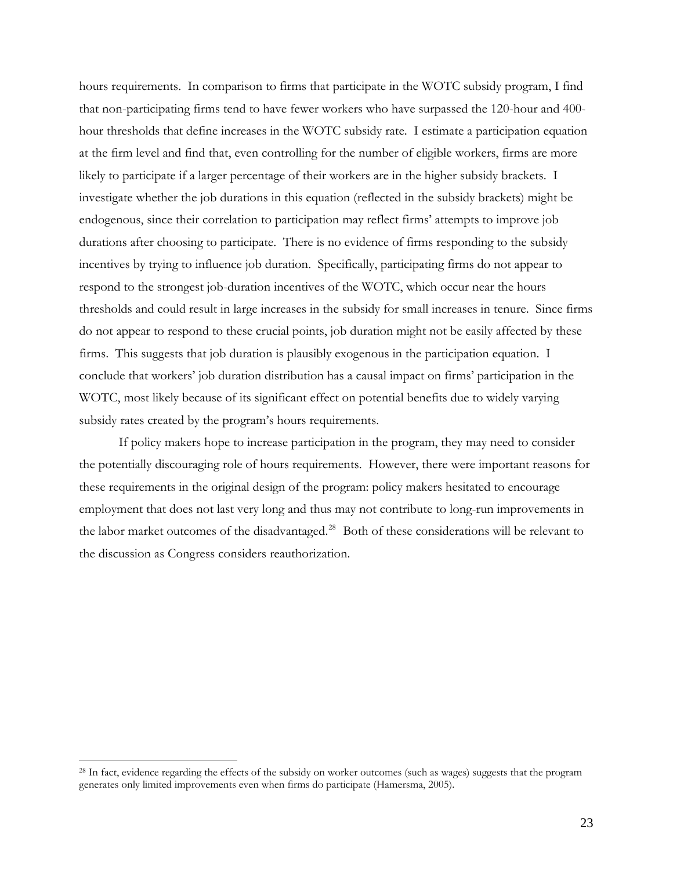hours requirements. In comparison to firms that participate in the WOTC subsidy program, I find that non-participating firms tend to have fewer workers who have surpassed the 120-hour and 400 hour thresholds that define increases in the WOTC subsidy rate. I estimate a participation equation at the firm level and find that, even controlling for the number of eligible workers, firms are more likely to participate if a larger percentage of their workers are in the higher subsidy brackets. I investigate whether the job durations in this equation (reflected in the subsidy brackets) might be endogenous, since their correlation to participation may reflect firms' attempts to improve job durations after choosing to participate. There is no evidence of firms responding to the subsidy incentives by trying to influence job duration. Specifically, participating firms do not appear to respond to the strongest job-duration incentives of the WOTC, which occur near the hours thresholds and could result in large increases in the subsidy for small increases in tenure. Since firms do not appear to respond to these crucial points, job duration might not be easily affected by these firms. This suggests that job duration is plausibly exogenous in the participation equation. I conclude that workers' job duration distribution has a causal impact on firms' participation in the WOTC, most likely because of its significant effect on potential benefits due to widely varying subsidy rates created by the program's hours requirements.

If policy makers hope to increase participation in the program, they may need to consider the potentially discouraging role of hours requirements. However, there were important reasons for these requirements in the original design of the program: policy makers hesitated to encourage employment that does not last very long and thus may not contribute to long-run improvements in the labor market outcomes of the disadvantaged.<sup>[28](#page-22-0)</sup> Both of these considerations will be relevant to the discussion as Congress considers reauthorization.

<span id="page-22-0"></span><sup>&</sup>lt;sup>28</sup> In fact, evidence regarding the effects of the subsidy on worker outcomes (such as wages) suggests that the program generates only limited improvements even when firms do participate (Hamersma, 2005).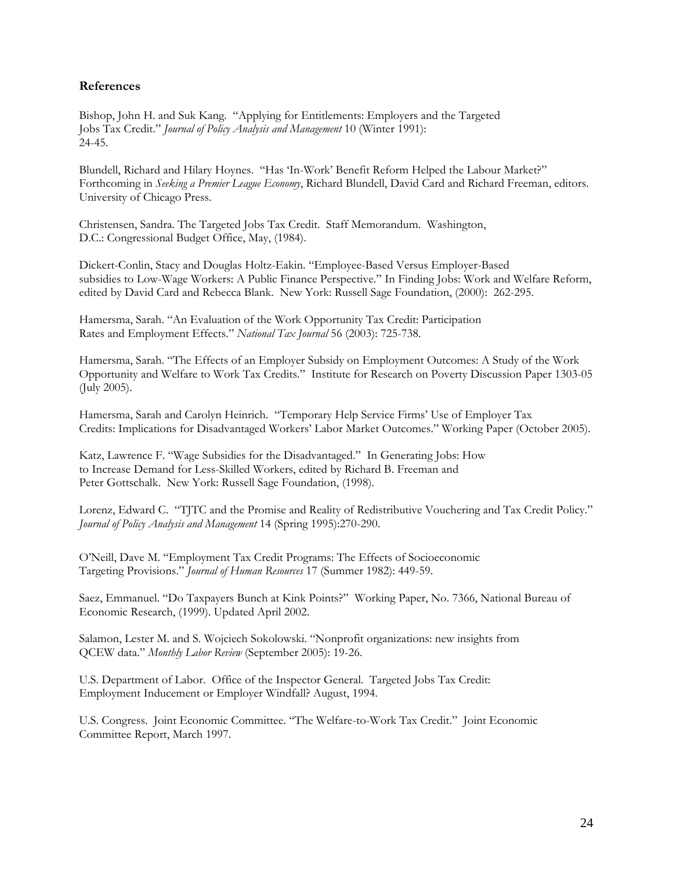### **References**

Bishop, John H. and Suk Kang. "Applying for Entitlements: Employers and the Targeted Jobs Tax Credit." *Journal of Policy Analysis and Management* 10 (Winter 1991): 24-45.

Blundell, Richard and Hilary Hoynes. "Has 'In-Work' Benefit Reform Helped the Labour Market?" Forthcoming in *Seeking a Premier League Economy*, Richard Blundell, David Card and Richard Freeman, editors. University of Chicago Press.

Christensen, Sandra. The Targeted Jobs Tax Credit. Staff Memorandum. Washington, D.C.: Congressional Budget Office, May, (1984).

Dickert-Conlin, Stacy and Douglas Holtz-Eakin. "Employee-Based Versus Employer-Based subsidies to Low-Wage Workers: A Public Finance Perspective." In Finding Jobs: Work and Welfare Reform, edited by David Card and Rebecca Blank. New York: Russell Sage Foundation, (2000): 262-295.

Hamersma, Sarah. "An Evaluation of the Work Opportunity Tax Credit: Participation Rates and Employment Effects." *National Tax Journal* 56 (2003): 725-738.

Hamersma, Sarah. "The Effects of an Employer Subsidy on Employment Outcomes: A Study of the Work Opportunity and Welfare to Work Tax Credits." Institute for Research on Poverty Discussion Paper 1303-05 (July 2005).

Hamersma, Sarah and Carolyn Heinrich. "Temporary Help Service Firms' Use of Employer Tax Credits: Implications for Disadvantaged Workers' Labor Market Outcomes." Working Paper (October 2005).

Katz, Lawrence F. "Wage Subsidies for the Disadvantaged." In Generating Jobs: How to Increase Demand for Less-Skilled Workers, edited by Richard B. Freeman and Peter Gottschalk. New York: Russell Sage Foundation, (1998).

Lorenz, Edward C. "TJTC and the Promise and Reality of Redistributive Vouchering and Tax Credit Policy." *Journal of Policy Analysis and Management* 14 (Spring 1995):270-290.

O'Neill, Dave M. "Employment Tax Credit Programs: The Effects of Socioeconomic Targeting Provisions." *Journal of Human Resources* 17 (Summer 1982): 449-59.

Saez, Emmanuel. "Do Taxpayers Bunch at Kink Points?" Working Paper, No. 7366, National Bureau of Economic Research, (1999). Updated April 2002.

Salamon, Lester M. and S. Wojciech Sokolowski. "Nonprofit organizations: new insights from QCEW data." *Monthly Labor Review* (September 2005): 19-26.

U.S. Department of Labor. Office of the Inspector General. Targeted Jobs Tax Credit: Employment Inducement or Employer Windfall? August, 1994.

U.S. Congress. Joint Economic Committee. "The Welfare-to-Work Tax Credit." Joint Economic Committee Report, March 1997.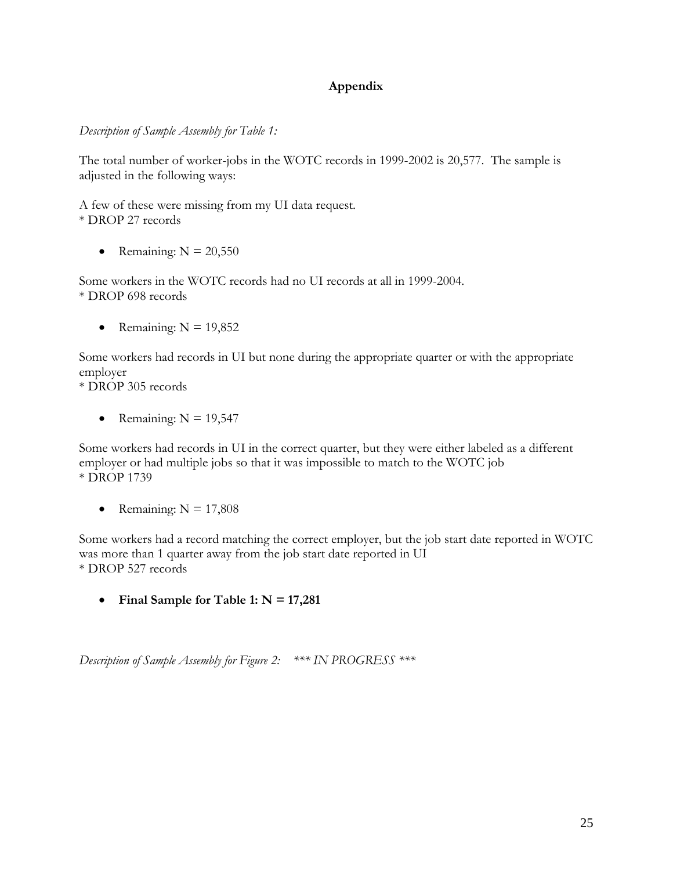## **Appendix**

*Description of Sample Assembly for Table 1:* 

The total number of worker-jobs in the WOTC records in 1999-2002 is 20,577. The sample is adjusted in the following ways:

A few of these were missing from my UI data request. \* DROP 27 records

• Remaining:  $N = 20,550$ 

Some workers in the WOTC records had no UI records at all in 1999-2004. \* DROP 698 records

• Remaining:  $N = 19,852$ 

Some workers had records in UI but none during the appropriate quarter or with the appropriate employer

\* DROP 305 records

• Remaining:  $N = 19,547$ 

Some workers had records in UI in the correct quarter, but they were either labeled as a different employer or had multiple jobs so that it was impossible to match to the WOTC job \* DROP 1739

• Remaining:  $N = 17,808$ 

Some workers had a record matching the correct employer, but the job start date reported in WOTC was more than 1 quarter away from the job start date reported in UI \* DROP 527 records

• **Final Sample for Table 1: N = 17,281**

*Description of Sample Assembly for Figure 2: \*\*\* IN PROGRESS \*\*\**